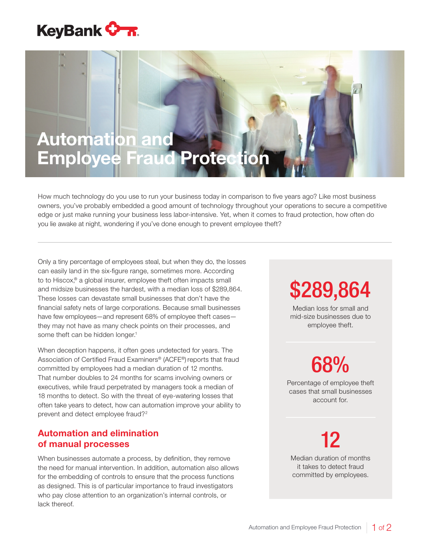

### Automation and Employee Fraud Protection

How much technology do you use to run your business today in comparison to five years ago? Like most business owners, you've probably embedded a good amount of technology throughout your operations to secure a competitive edge or just make running your business less labor-intensive. Yet, when it comes to fraud protection, how often do you lie awake at night, wondering if you've done enough to prevent employee theft?

Only a tiny percentage of employees steal, but when they do, the losses can easily land in the six-figure range, sometimes more. According to to Hiscox,® a global insurer, employee theft often impacts small and midsize businesses the hardest, with a median loss of \$289,864. These losses can devastate small businesses that don't have the financial safety nets of large corporations. Because small businesses have few employees—and represent 68% of employee theft cases they may not have as many check points on their processes, and some theft can be hidden longer.<sup>1</sup>

When deception happens, it often goes undetected for years. The Association of Certified Fraud Examiners® (ACFE®) reports that fraud committed by employees had a median duration of 12 months. That number doubles to 24 months for scams involving owners or executives, while fraud perpetrated by managers took a median of 18 months to detect. So with the threat of eye-watering losses that often take years to detect, how can automation improve your ability to prevent and detect employee fraud?2

#### Automation and elimination of manual processes

When businesses automate a process, by definition, they remove the need for manual intervention. In addition, automation also allows for the embedding of controls to ensure that the process functions as designed. This is of particular importance to fraud investigators who pay close attention to an organization's internal controls, or lack thereof.

# \$289,864

Median loss for small and mid-size businesses due to employee theft.

## 68%

Percentage of employee theft cases that small businesses account for.

12

Median duration of months it takes to detect fraud committed by employees.